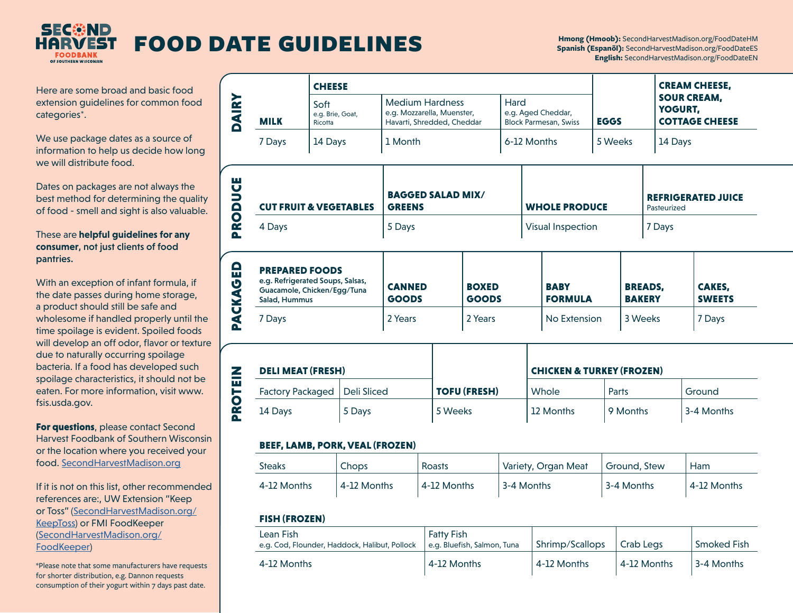

# **FOOD DATE GUIDELINES**

Here are some broad and basic food extension guidelines for common food categories\*.

We use package dates as a source of information to help us decide how long we will distribute food.

Dates on packages are not always the best method for determining the quality of food - smell and sight is also valuable.

### These are **helpful guidelines for any consumer**, not just clients of food pantries.

With an exception of infant formula, if the date passes during home storage, a product should still be safe and wholesome if handled properly until the time spoilage is evident. Spoiled foods will develop an off odor, flavor or texture due to naturally occurring spoilage bacteria. If a food has developed such spoilage characteristics, it should not be eaten. For more information, visit www. fsis.usda.gov.

For questions, please contact Second Harvest Foodbank of Southern Wisconsin or the location where you received your food. [SecondHarvestMadison.org](http://SecondHarvestMadison.org)

If it is not on this list, other recommended references are:, UW Extension "Keep or Toss" [\(SecondHarvestMadison.org/](https://www.secondharvestmadison.org/KeepToss) [KeepToss](https://www.secondharvestmadison.org/KeepToss)) or FMI FoodKeeper ([SecondHarvestMadison.org/](https://www.SecondHarvestMadison.org/FoodKeeper) [FoodKeeper\)](https://www.SecondHarvestMadison.org/FoodKeeper)

\*Please note that some manufacturers have requests for shorter distribution, e.g. Dannon requests consumption of their yogurt within 7 days past date.

|             | <b>CHEESE</b>                       |                                                                                    |                                                            |             | <b>CREAM CHEESE,</b>                                   |
|-------------|-------------------------------------|------------------------------------------------------------------------------------|------------------------------------------------------------|-------------|--------------------------------------------------------|
| <b>MILK</b> | Soft<br>e.g. Brie, Goat,<br>Ricotta | <b>Medium Hardness</b><br>e.g. Mozzarella, Muenster,<br>Havarti, Shredded, Cheddar | Hard<br>e.g. Aged Cheddar,<br><b>Block Parmesan, Swiss</b> | <b>EGGS</b> | <b>SOUR CREAM,</b><br>YOGURT,<br><b>COTTAGE CHEESE</b> |
| 7 Days      | 14 Days                             | 1 Month                                                                            | 6-12 Months                                                | 5 Weeks     | 14 Days                                                |

| <b>CUT FRUIT &amp; VEGETABLES</b> | <b>BAGGED SALAD MIX/</b><br><b>GREENS</b> | <b>WHOLE PRODUCE</b> | <b>REFRIGERATED JUICE</b><br>Pasteurized |
|-----------------------------------|-------------------------------------------|----------------------|------------------------------------------|
| 4 Days                            | 5 Days                                    | Visual Inspection    | 7 Days                                   |

| $\Omega$<br>ш<br>$\boldsymbol{\sigma}$<br>Š | <b>PREPARED FOODS</b><br>e.g. Refrigerated Soups, Salsas,<br>Guacamole, Chicken/Egg/Tuna<br>Salad, Hummus | <b>CANNED</b><br><b>GOODS</b> | <b>BOXED</b><br><b>GOODS</b> | <b>BABY</b><br><b>FORMULA</b> | <b>BREADS.</b><br><b>BAKERY</b> | <b>CAKES.</b><br><b>SWEETS</b> |
|---------------------------------------------|-----------------------------------------------------------------------------------------------------------|-------------------------------|------------------------------|-------------------------------|---------------------------------|--------------------------------|
| Ų<br>Œ.<br>œ                                | Davs                                                                                                      | 2 Years                       | 2 Years                      | No Extension                  | 3 Weeks                         | 7 Days                         |

| <b>DELI MEAT (FRESH)</b>       |        |                     | <b>CHICKEN &amp; TURKEY (FROZEN)</b> |          |            |
|--------------------------------|--------|---------------------|--------------------------------------|----------|------------|
| Factory Packaged   Deli Sliced |        | <b>TOFU (FRESH)</b> | Whole                                | Parts    | Ground     |
| 14 Days                        | 5 Days | 5 Weeks             | 12 Months                            | 9 Months | 3-4 Months |

### BEEF, LAMB, PORK, VEAL (FROZEN)

| Steaks      | Chops       | Roasts      | Variety, Organ Meat | Ground. Stew | Ham         |
|-------------|-------------|-------------|---------------------|--------------|-------------|
| 4-12 Months | 4-12 Months | 4-12 Months | 3-4 Months          | 3-4 Months   | 4-12 Months |

### FISH (FROZEN)

**PROTEIN** 

PROTEIN

| Lean Fish<br>e.g. Cod, Flounder, Haddock, Halibut, Pollock | <b>Fatty Fish</b><br>e.g. Bluefish, Salmon, Tuna | Shrimp/Scallops | Crab Legs   | Smoked Fish |
|------------------------------------------------------------|--------------------------------------------------|-----------------|-------------|-------------|
| 4-12 Months                                                | 4-12 Months                                      | 4-12 Months     | 4-12 Months | 3-4 Months  |